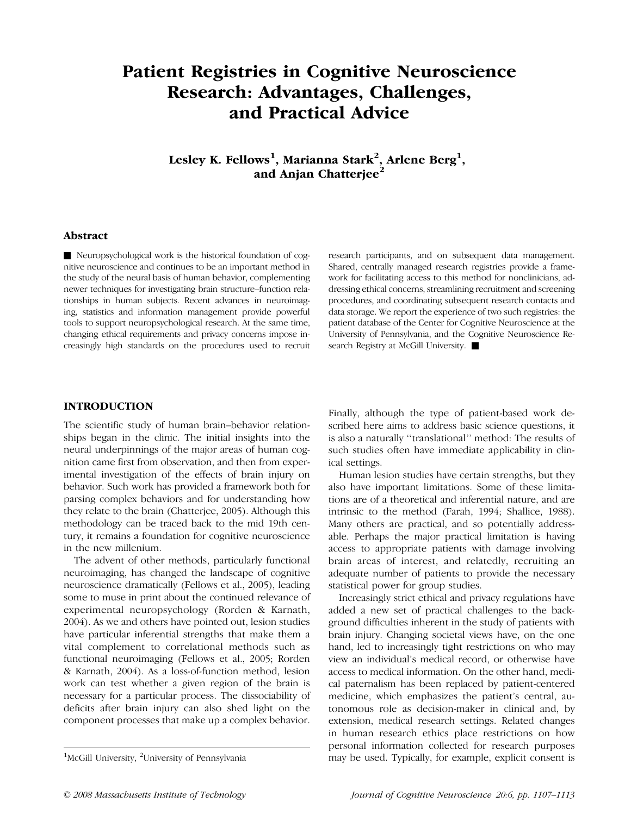# Patient Registries in Cognitive Neuroscience Research: Advantages, Challenges, and Practical Advice

Lesley K. Fellows $^1$ , Marianna Stark $^2$ , Arlene Berg $^1,$ and Anjan Chatterjee<sup>2</sup>

## Abstract

& Neuropsychological work is the historical foundation of cognitive neuroscience and continues to be an important method in the study of the neural basis of human behavior, complementing newer techniques for investigating brain structure–function relationships in human subjects. Recent advances in neuroimaging, statistics and information management provide powerful tools to support neuropsychological research. At the same time, changing ethical requirements and privacy concerns impose increasingly high standards on the procedures used to recruit research participants, and on subsequent data management. Shared, centrally managed research registries provide a framework for facilitating access to this method for nonclinicians, addressing ethical concerns, streamlining recruitment and screening procedures, and coordinating subsequent research contacts and data storage. We report the experience of two such registries: the patient database of the Center for Cognitive Neuroscience at the University of Pennsylvania, and the Cognitive Neuroscience Research Registry at McGill University.

# INTRODUCTION

The scientific study of human brain–behavior relationships began in the clinic. The initial insights into the neural underpinnings of the major areas of human cognition came first from observation, and then from experimental investigation of the effects of brain injury on behavior. Such work has provided a framework both for parsing complex behaviors and for understanding how they relate to the brain (Chatterjee, 2005). Although this methodology can be traced back to the mid 19th century, it remains a foundation for cognitive neuroscience in the new millenium.

The advent of other methods, particularly functional neuroimaging, has changed the landscape of cognitive neuroscience dramatically (Fellows et al., 2005), leading some to muse in print about the continued relevance of experimental neuropsychology (Rorden & Karnath, 2004). As we and others have pointed out, lesion studies have particular inferential strengths that make them a vital complement to correlational methods such as functional neuroimaging (Fellows et al., 2005; Rorden & Karnath, 2004). As a loss-of-function method, lesion work can test whether a given region of the brain is necessary for a particular process. The dissociability of deficits after brain injury can also shed light on the component processes that make up a complex behavior.

Finally, although the type of patient-based work described here aims to address basic science questions, it is also a naturally ''translational'' method: The results of such studies often have immediate applicability in clinical settings.

Human lesion studies have certain strengths, but they also have important limitations. Some of these limitations are of a theoretical and inferential nature, and are intrinsic to the method (Farah, 1994; Shallice, 1988). Many others are practical, and so potentially addressable. Perhaps the major practical limitation is having access to appropriate patients with damage involving brain areas of interest, and relatedly, recruiting an adequate number of patients to provide the necessary statistical power for group studies.

Increasingly strict ethical and privacy regulations have added a new set of practical challenges to the background difficulties inherent in the study of patients with brain injury. Changing societal views have, on the one hand, led to increasingly tight restrictions on who may view an individual's medical record, or otherwise have access to medical information. On the other hand, medical paternalism has been replaced by patient-centered medicine, which emphasizes the patient's central, autonomous role as decision-maker in clinical and, by extension, medical research settings. Related changes in human research ethics place restrictions on how personal information collected for research purposes may be used. Typically, for example, explicit consent is <sup>1</sup>

McGill University, <sup>2</sup>University of Pennsylvania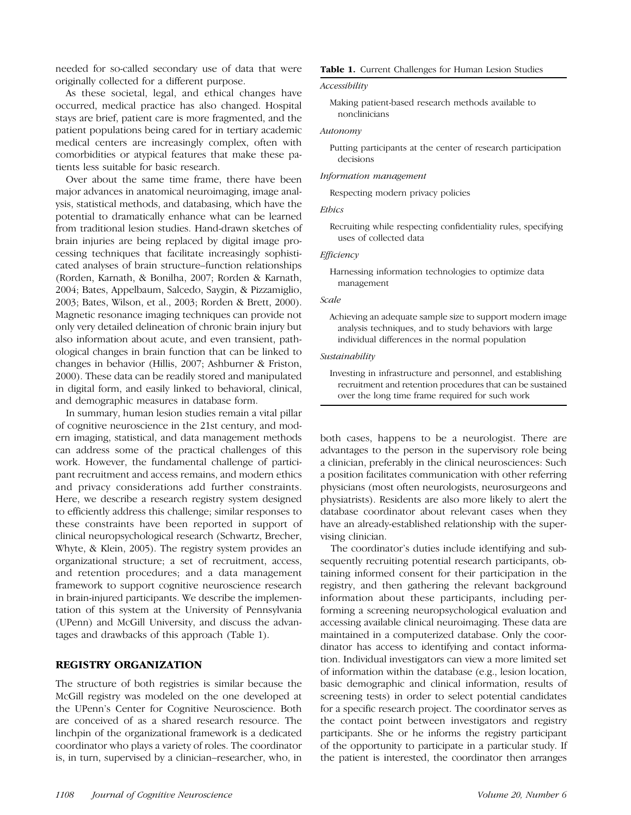needed for so-called secondary use of data that were originally collected for a different purpose.

As these societal, legal, and ethical changes have occurred, medical practice has also changed. Hospital stays are brief, patient care is more fragmented, and the patient populations being cared for in tertiary academic medical centers are increasingly complex, often with comorbidities or atypical features that make these patients less suitable for basic research.

Over about the same time frame, there have been major advances in anatomical neuroimaging, image analysis, statistical methods, and databasing, which have the potential to dramatically enhance what can be learned from traditional lesion studies. Hand-drawn sketches of brain injuries are being replaced by digital image processing techniques that facilitate increasingly sophisticated analyses of brain structure–function relationships (Rorden, Karnath, & Bonilha, 2007; Rorden & Karnath, 2004; Bates, Appelbaum, Salcedo, Saygin, & Pizzamiglio, 2003; Bates, Wilson, et al., 2003; Rorden & Brett, 2000). Magnetic resonance imaging techniques can provide not only very detailed delineation of chronic brain injury but also information about acute, and even transient, pathological changes in brain function that can be linked to changes in behavior (Hillis, 2007; Ashburner & Friston, 2000). These data can be readily stored and manipulated in digital form, and easily linked to behavioral, clinical, and demographic measures in database form.

In summary, human lesion studies remain a vital pillar of cognitive neuroscience in the 21st century, and modern imaging, statistical, and data management methods can address some of the practical challenges of this work. However, the fundamental challenge of participant recruitment and access remains, and modern ethics and privacy considerations add further constraints. Here, we describe a research registry system designed to efficiently address this challenge; similar responses to these constraints have been reported in support of clinical neuropsychological research (Schwartz, Brecher, Whyte, & Klein, 2005). The registry system provides an organizational structure; a set of recruitment, access, and retention procedures; and a data management framework to support cognitive neuroscience research in brain-injured participants. We describe the implementation of this system at the University of Pennsylvania (UPenn) and McGill University, and discuss the advantages and drawbacks of this approach (Table 1).

# REGISTRY ORGANIZATION

The structure of both registries is similar because the McGill registry was modeled on the one developed at the UPenn's Center for Cognitive Neuroscience. Both are conceived of as a shared research resource. The linchpin of the organizational framework is a dedicated coordinator who plays a variety of roles. The coordinator is, in turn, supervised by a clinician–researcher, who, in

#### Table 1. Current Challenges for Human Lesion Studies

## Accessibility

Making patient-based research methods available to nonclinicians

### Autonomy

Putting participants at the center of research participation decisions

#### Information management

Respecting modern privacy policies

## Ethics

Recruiting while respecting confidentiality rules, specifying uses of collected data

#### Efficiency

Harnessing information technologies to optimize data management

#### Scale

Achieving an adequate sample size to support modern image analysis techniques, and to study behaviors with large individual differences in the normal population

#### Sustainability

Investing in infrastructure and personnel, and establishing recruitment and retention procedures that can be sustained over the long time frame required for such work

both cases, happens to be a neurologist. There are advantages to the person in the supervisory role being a clinician, preferably in the clinical neurosciences: Such a position facilitates communication with other referring physicians (most often neurologists, neurosurgeons and physiatrists). Residents are also more likely to alert the database coordinator about relevant cases when they have an already-established relationship with the supervising clinician.

The coordinator's duties include identifying and subsequently recruiting potential research participants, obtaining informed consent for their participation in the registry, and then gathering the relevant background information about these participants, including performing a screening neuropsychological evaluation and accessing available clinical neuroimaging. These data are maintained in a computerized database. Only the coordinator has access to identifying and contact information. Individual investigators can view a more limited set of information within the database (e.g., lesion location, basic demographic and clinical information, results of screening tests) in order to select potential candidates for a specific research project. The coordinator serves as the contact point between investigators and registry participants. She or he informs the registry participant of the opportunity to participate in a particular study. If the patient is interested, the coordinator then arranges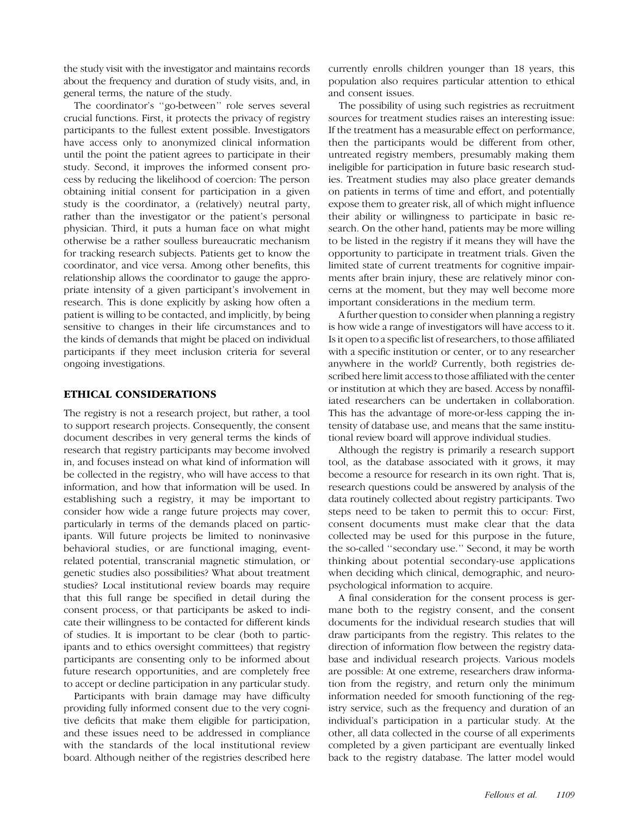the study visit with the investigator and maintains records about the frequency and duration of study visits, and, in general terms, the nature of the study.

The coordinator's ''go-between'' role serves several crucial functions. First, it protects the privacy of registry participants to the fullest extent possible. Investigators have access only to anonymized clinical information until the point the patient agrees to participate in their study. Second, it improves the informed consent process by reducing the likelihood of coercion: The person obtaining initial consent for participation in a given study is the coordinator, a (relatively) neutral party, rather than the investigator or the patient's personal physician. Third, it puts a human face on what might otherwise be a rather soulless bureaucratic mechanism for tracking research subjects. Patients get to know the coordinator, and vice versa. Among other benefits, this relationship allows the coordinator to gauge the appropriate intensity of a given participant's involvement in research. This is done explicitly by asking how often a patient is willing to be contacted, and implicitly, by being sensitive to changes in their life circumstances and to the kinds of demands that might be placed on individual participants if they meet inclusion criteria for several ongoing investigations.

# ETHICAL CONSIDERATIONS

The registry is not a research project, but rather, a tool to support research projects. Consequently, the consent document describes in very general terms the kinds of research that registry participants may become involved in, and focuses instead on what kind of information will be collected in the registry, who will have access to that information, and how that information will be used. In establishing such a registry, it may be important to consider how wide a range future projects may cover, particularly in terms of the demands placed on participants. Will future projects be limited to noninvasive behavioral studies, or are functional imaging, eventrelated potential, transcranial magnetic stimulation, or genetic studies also possibilities? What about treatment studies? Local institutional review boards may require that this full range be specified in detail during the consent process, or that participants be asked to indicate their willingness to be contacted for different kinds of studies. It is important to be clear (both to participants and to ethics oversight committees) that registry participants are consenting only to be informed about future research opportunities, and are completely free to accept or decline participation in any particular study.

Participants with brain damage may have difficulty providing fully informed consent due to the very cognitive deficits that make them eligible for participation, and these issues need to be addressed in compliance with the standards of the local institutional review board. Although neither of the registries described here

currently enrolls children younger than 18 years, this population also requires particular attention to ethical and consent issues.

The possibility of using such registries as recruitment sources for treatment studies raises an interesting issue: If the treatment has a measurable effect on performance, then the participants would be different from other, untreated registry members, presumably making them ineligible for participation in future basic research studies. Treatment studies may also place greater demands on patients in terms of time and effort, and potentially expose them to greater risk, all of which might influence their ability or willingness to participate in basic research. On the other hand, patients may be more willing to be listed in the registry if it means they will have the opportunity to participate in treatment trials. Given the limited state of current treatments for cognitive impairments after brain injury, these are relatively minor concerns at the moment, but they may well become more important considerations in the medium term.

A further question to consider when planning a registry is how wide a range of investigators will have access to it. Is it open to a specific list of researchers, to those affiliated with a specific institution or center, or to any researcher anywhere in the world? Currently, both registries described here limit access to those affiliated with the center or institution at which they are based. Access by nonaffiliated researchers can be undertaken in collaboration. This has the advantage of more-or-less capping the intensity of database use, and means that the same institutional review board will approve individual studies.

Although the registry is primarily a research support tool, as the database associated with it grows, it may become a resource for research in its own right. That is, research questions could be answered by analysis of the data routinely collected about registry participants. Two steps need to be taken to permit this to occur: First, consent documents must make clear that the data collected may be used for this purpose in the future, the so-called ''secondary use.'' Second, it may be worth thinking about potential secondary-use applications when deciding which clinical, demographic, and neuropsychological information to acquire.

A final consideration for the consent process is germane both to the registry consent, and the consent documents for the individual research studies that will draw participants from the registry. This relates to the direction of information flow between the registry database and individual research projects. Various models are possible: At one extreme, researchers draw information from the registry, and return only the minimum information needed for smooth functioning of the registry service, such as the frequency and duration of an individual's participation in a particular study. At the other, all data collected in the course of all experiments completed by a given participant are eventually linked back to the registry database. The latter model would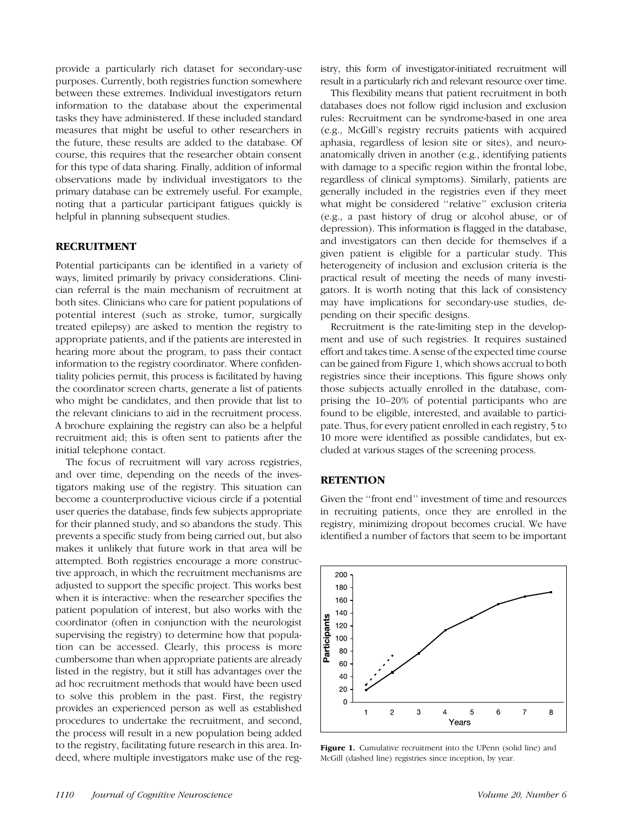provide a particularly rich dataset for secondary-use purposes. Currently, both registries function somewhere between these extremes. Individual investigators return information to the database about the experimental tasks they have administered. If these included standard measures that might be useful to other researchers in the future, these results are added to the database. Of course, this requires that the researcher obtain consent for this type of data sharing. Finally, addition of informal observations made by individual investigators to the primary database can be extremely useful. For example, noting that a particular participant fatigues quickly is helpful in planning subsequent studies.

# RECRUITMENT

Potential participants can be identified in a variety of ways, limited primarily by privacy considerations. Clinician referral is the main mechanism of recruitment at both sites. Clinicians who care for patient populations of potential interest (such as stroke, tumor, surgically treated epilepsy) are asked to mention the registry to appropriate patients, and if the patients are interested in hearing more about the program, to pass their contact information to the registry coordinator. Where confidentiality policies permit, this process is facilitated by having the coordinator screen charts, generate a list of patients who might be candidates, and then provide that list to the relevant clinicians to aid in the recruitment process. A brochure explaining the registry can also be a helpful recruitment aid; this is often sent to patients after the initial telephone contact.

The focus of recruitment will vary across registries, and over time, depending on the needs of the investigators making use of the registry. This situation can become a counterproductive vicious circle if a potential user queries the database, finds few subjects appropriate for their planned study, and so abandons the study. This prevents a specific study from being carried out, but also makes it unlikely that future work in that area will be attempted. Both registries encourage a more constructive approach, in which the recruitment mechanisms are adjusted to support the specific project. This works best when it is interactive: when the researcher specifies the patient population of interest, but also works with the coordinator (often in conjunction with the neurologist supervising the registry) to determine how that population can be accessed. Clearly, this process is more cumbersome than when appropriate patients are already listed in the registry, but it still has advantages over the ad hoc recruitment methods that would have been used to solve this problem in the past. First, the registry provides an experienced person as well as established procedures to undertake the recruitment, and second, the process will result in a new population being added to the registry, facilitating future research in this area. Indeed, where multiple investigators make use of the registry, this form of investigator-initiated recruitment will result in a particularly rich and relevant resource over time.

This flexibility means that patient recruitment in both databases does not follow rigid inclusion and exclusion rules: Recruitment can be syndrome-based in one area (e.g., McGill's registry recruits patients with acquired aphasia, regardless of lesion site or sites), and neuroanatomically driven in another (e.g., identifying patients with damage to a specific region within the frontal lobe, regardless of clinical symptoms). Similarly, patients are generally included in the registries even if they meet what might be considered ''relative'' exclusion criteria (e.g., a past history of drug or alcohol abuse, or of depression). This information is flagged in the database, and investigators can then decide for themselves if a given patient is eligible for a particular study. This heterogeneity of inclusion and exclusion criteria is the practical result of meeting the needs of many investigators. It is worth noting that this lack of consistency may have implications for secondary-use studies, depending on their specific designs.

Recruitment is the rate-limiting step in the development and use of such registries. It requires sustained effort and takes time. A sense of the expected time course can be gained from Figure 1, which shows accrual to both registries since their inceptions. This figure shows only those subjects actually enrolled in the database, comprising the 10–20% of potential participants who are found to be eligible, interested, and available to participate. Thus, for every patient enrolled in each registry, 5 to 10 more were identified as possible candidates, but excluded at various stages of the screening process.

#### **RETENTION**

Given the ''front end'' investment of time and resources in recruiting patients, once they are enrolled in the registry, minimizing dropout becomes crucial. We have identified a number of factors that seem to be important



Figure 1. Cumulative recruitment into the UPenn (solid line) and McGill (dashed line) registries since inception, by year.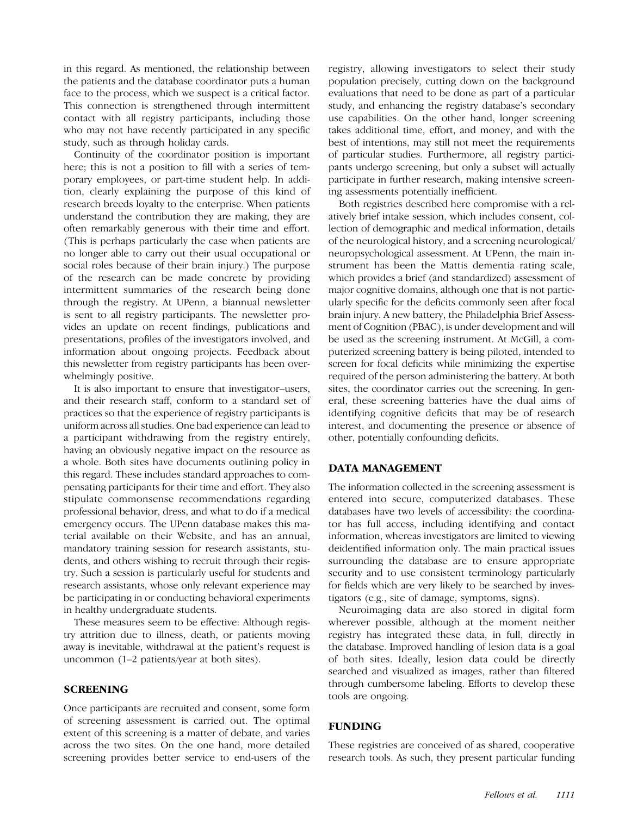in this regard. As mentioned, the relationship between the patients and the database coordinator puts a human face to the process, which we suspect is a critical factor. This connection is strengthened through intermittent contact with all registry participants, including those who may not have recently participated in any specific study, such as through holiday cards.

Continuity of the coordinator position is important here; this is not a position to fill with a series of temporary employees, or part-time student help. In addition, clearly explaining the purpose of this kind of research breeds loyalty to the enterprise. When patients understand the contribution they are making, they are often remarkably generous with their time and effort. (This is perhaps particularly the case when patients are no longer able to carry out their usual occupational or social roles because of their brain injury.) The purpose of the research can be made concrete by providing intermittent summaries of the research being done through the registry. At UPenn, a biannual newsletter is sent to all registry participants. The newsletter provides an update on recent findings, publications and presentations, profiles of the investigators involved, and information about ongoing projects. Feedback about this newsletter from registry participants has been overwhelmingly positive.

It is also important to ensure that investigator–users, and their research staff, conform to a standard set of practices so that the experience of registry participants is uniform across all studies. One bad experience can lead to a participant withdrawing from the registry entirely, having an obviously negative impact on the resource as a whole. Both sites have documents outlining policy in this regard. These includes standard approaches to compensating participants for their time and effort. They also stipulate commonsense recommendations regarding professional behavior, dress, and what to do if a medical emergency occurs. The UPenn database makes this material available on their Website, and has an annual, mandatory training session for research assistants, students, and others wishing to recruit through their registry. Such a session is particularly useful for students and research assistants, whose only relevant experience may be participating in or conducting behavioral experiments in healthy undergraduate students.

These measures seem to be effective: Although registry attrition due to illness, death, or patients moving away is inevitable, withdrawal at the patient's request is uncommon (1–2 patients/year at both sites).

# SCREENING

Once participants are recruited and consent, some form of screening assessment is carried out. The optimal extent of this screening is a matter of debate, and varies across the two sites. On the one hand, more detailed screening provides better service to end-users of the

registry, allowing investigators to select their study population precisely, cutting down on the background evaluations that need to be done as part of a particular study, and enhancing the registry database's secondary use capabilities. On the other hand, longer screening takes additional time, effort, and money, and with the best of intentions, may still not meet the requirements of particular studies. Furthermore, all registry participants undergo screening, but only a subset will actually participate in further research, making intensive screening assessments potentially inefficient.

Both registries described here compromise with a relatively brief intake session, which includes consent, collection of demographic and medical information, details of the neurological history, and a screening neurological/ neuropsychological assessment. At UPenn, the main instrument has been the Mattis dementia rating scale, which provides a brief (and standardized) assessment of major cognitive domains, although one that is not particularly specific for the deficits commonly seen after focal brain injury. A new battery, the Philadelphia Brief Assessment of Cognition (PBAC), is under development and will be used as the screening instrument. At McGill, a computerized screening battery is being piloted, intended to screen for focal deficits while minimizing the expertise required of the person administering the battery. At both sites, the coordinator carries out the screening. In general, these screening batteries have the dual aims of identifying cognitive deficits that may be of research interest, and documenting the presence or absence of other, potentially confounding deficits.

# DATA MANAGEMENT

The information collected in the screening assessment is entered into secure, computerized databases. These databases have two levels of accessibility: the coordinator has full access, including identifying and contact information, whereas investigators are limited to viewing deidentified information only. The main practical issues surrounding the database are to ensure appropriate security and to use consistent terminology particularly for fields which are very likely to be searched by investigators (e.g., site of damage, symptoms, signs).

Neuroimaging data are also stored in digital form wherever possible, although at the moment neither registry has integrated these data, in full, directly in the database. Improved handling of lesion data is a goal of both sites. Ideally, lesion data could be directly searched and visualized as images, rather than filtered through cumbersome labeling. Efforts to develop these tools are ongoing.

# FUNDING

These registries are conceived of as shared, cooperative research tools. As such, they present particular funding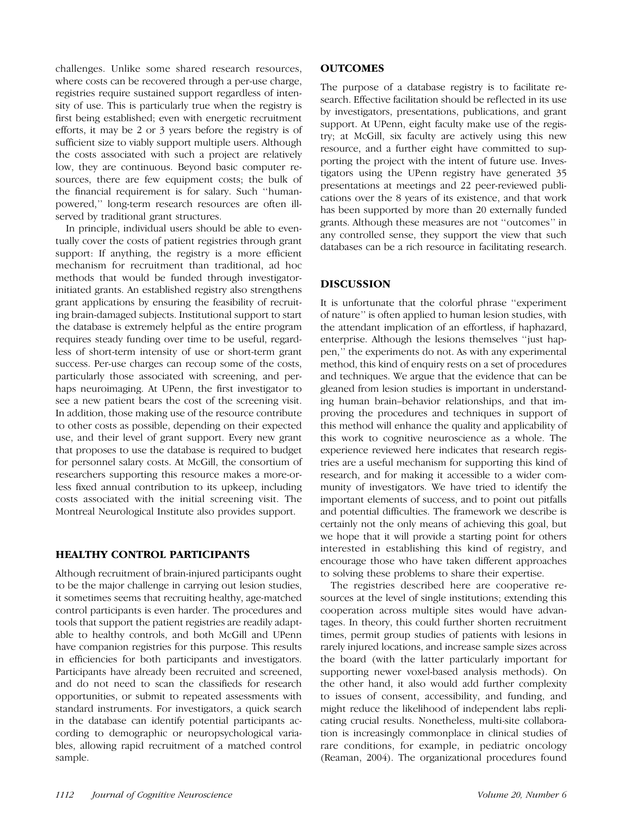challenges. Unlike some shared research resources, where costs can be recovered through a per-use charge, registries require sustained support regardless of intensity of use. This is particularly true when the registry is first being established; even with energetic recruitment efforts, it may be 2 or 3 years before the registry is of sufficient size to viably support multiple users. Although the costs associated with such a project are relatively low, they are continuous. Beyond basic computer resources, there are few equipment costs; the bulk of the financial requirement is for salary. Such ''humanpowered,'' long-term research resources are often illserved by traditional grant structures.

In principle, individual users should be able to eventually cover the costs of patient registries through grant support: If anything, the registry is a more efficient mechanism for recruitment than traditional, ad hoc methods that would be funded through investigatorinitiated grants. An established registry also strengthens grant applications by ensuring the feasibility of recruiting brain-damaged subjects. Institutional support to start the database is extremely helpful as the entire program requires steady funding over time to be useful, regardless of short-term intensity of use or short-term grant success. Per-use charges can recoup some of the costs, particularly those associated with screening, and perhaps neuroimaging. At UPenn, the first investigator to see a new patient bears the cost of the screening visit. In addition, those making use of the resource contribute to other costs as possible, depending on their expected use, and their level of grant support. Every new grant that proposes to use the database is required to budget for personnel salary costs. At McGill, the consortium of researchers supporting this resource makes a more-orless fixed annual contribution to its upkeep, including costs associated with the initial screening visit. The Montreal Neurological Institute also provides support.

# HEALTHY CONTROL PARTICIPANTS

Although recruitment of brain-injured participants ought to be the major challenge in carrying out lesion studies, it sometimes seems that recruiting healthy, age-matched control participants is even harder. The procedures and tools that support the patient registries are readily adaptable to healthy controls, and both McGill and UPenn have companion registries for this purpose. This results in efficiencies for both participants and investigators. Participants have already been recruited and screened, and do not need to scan the classifieds for research opportunities, or submit to repeated assessments with standard instruments. For investigators, a quick search in the database can identify potential participants according to demographic or neuropsychological variables, allowing rapid recruitment of a matched control sample.

# **OUTCOMES**

The purpose of a database registry is to facilitate research. Effective facilitation should be reflected in its use by investigators, presentations, publications, and grant support. At UPenn, eight faculty make use of the registry; at McGill, six faculty are actively using this new resource, and a further eight have committed to supporting the project with the intent of future use. Investigators using the UPenn registry have generated 35 presentations at meetings and 22 peer-reviewed publications over the 8 years of its existence, and that work has been supported by more than 20 externally funded grants. Although these measures are not ''outcomes'' in any controlled sense, they support the view that such databases can be a rich resource in facilitating research.

# DISCUSSION

It is unfortunate that the colorful phrase ''experiment of nature'' is often applied to human lesion studies, with the attendant implication of an effortless, if haphazard, enterprise. Although the lesions themselves ''just happen,'' the experiments do not. As with any experimental method, this kind of enquiry rests on a set of procedures and techniques. We argue that the evidence that can be gleaned from lesion studies is important in understanding human brain–behavior relationships, and that improving the procedures and techniques in support of this method will enhance the quality and applicability of this work to cognitive neuroscience as a whole. The experience reviewed here indicates that research registries are a useful mechanism for supporting this kind of research, and for making it accessible to a wider community of investigators. We have tried to identify the important elements of success, and to point out pitfalls and potential difficulties. The framework we describe is certainly not the only means of achieving this goal, but we hope that it will provide a starting point for others interested in establishing this kind of registry, and encourage those who have taken different approaches to solving these problems to share their expertise.

The registries described here are cooperative resources at the level of single institutions; extending this cooperation across multiple sites would have advantages. In theory, this could further shorten recruitment times, permit group studies of patients with lesions in rarely injured locations, and increase sample sizes across the board (with the latter particularly important for supporting newer voxel-based analysis methods). On the other hand, it also would add further complexity to issues of consent, accessibility, and funding, and might reduce the likelihood of independent labs replicating crucial results. Nonetheless, multi-site collaboration is increasingly commonplace in clinical studies of rare conditions, for example, in pediatric oncology (Reaman, 2004). The organizational procedures found